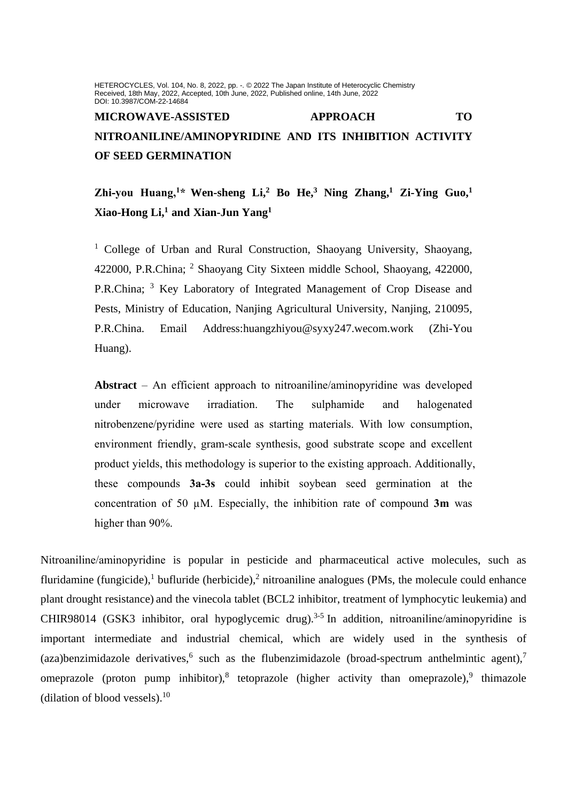HETEROCYCLES, Vol. 104, No. 8, 2022, pp. -. @ 2022 The Japan Institute of Heterocyclic Chemistry Received, 18th May, 2022, Accepted, 10th June, 2022, Published online, 14th June, 2022 DOI: 10.3987/COM-22-14684

# **MICROWAVE-ASSISTED APPROACH TO NITROANILINE/AMINOPYRIDINE AND ITS INHIBITION ACTIVITY OF SEED GERMINATION**

## **Zhi-you Huang, <sup>1</sup>\* Wen-sheng Li, <sup>2</sup> Bo He, <sup>3</sup> Ning Zhang, <sup>1</sup> Zi-Ying Guo, 1 Xiao-Hong Li, <sup>1</sup> and Xian-Jun Yang<sup>1</sup>**

<sup>1</sup> College of Urban and Rural Construction, Shaoyang University, Shaoyang, 422000, P.R.China; <sup>2</sup> Shaoyang City Sixteen middle School, Shaoyang, 422000, P.R.China; <sup>3</sup> Key Laboratory of Integrated Management of Crop Disease and Pests, Ministry of Education, Nanjing Agricultural University, Nanjing, 210095, P.R.China. Email Address:huangzhiyou@syxy247.wecom.work (Zhi-You Huang).

**Abstract** – An efficient approach to nitroaniline/aminopyridine was developed under microwave irradiation. The sulphamide and halogenated nitrobenzene/pyridine were used as starting materials. With low consumption, environment friendly, gram-scale synthesis, good substrate scope and excellent product yields, this methodology is superior to the existing approach. Additionally, these compounds **3a-3s** could inhibit soybean seed germination at the concentration of 50 µM. Especially, the inhibition rate of compound **3m** was higher than 90%.

Nitroaniline/aminopyridine is popular in pesticide and pharmaceutical active molecules, such as fluridamine (fungicide),<sup>1</sup> bufluride (herbicide),<sup>2</sup> nitroaniline analogues (PMs, the molecule could enhance plant drought resistance) and the vinecola tablet (BCL2 inhibitor, treatment of lymphocytic leukemia) and CHIR98014 (GSK3 inhibitor, oral hypoglycemic drug).<sup>3-5</sup> In addition, nitroaniline/aminopyridine is important intermediate and industrial chemical, which are widely used in the synthesis of (aza)benzimidazole derivatives,<sup>6</sup> such as the flubenzimidazole (broad-spectrum anthelmintic agent),<sup>7</sup> omeprazole (proton pump inhibitor),<sup>8</sup> tetoprazole (higher activity than omeprazole),<sup>9</sup> thimazole [\(dilation](javascript:;) [of](javascript:;) [blood](javascript:;) [vessels\)](javascript:;). 10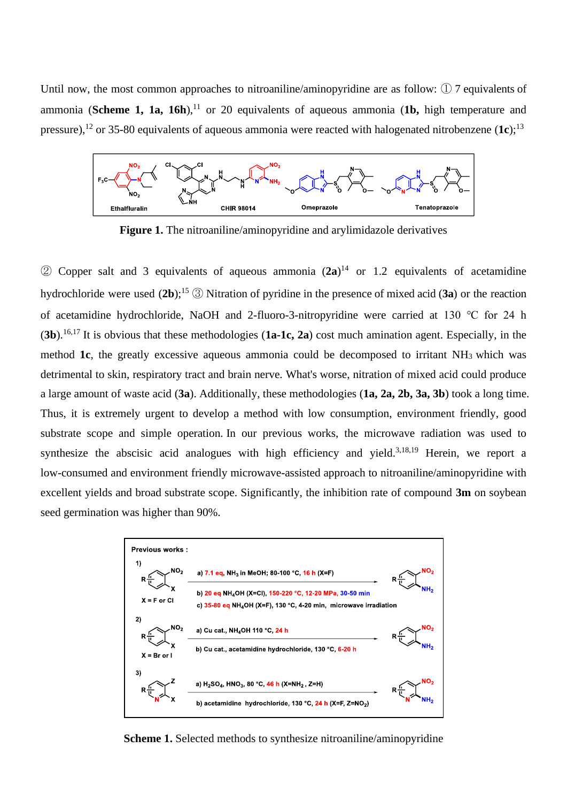Until now, the most common approaches to nitroaniline/aminopyridine are as follow: ① 7 equivalents of ammonia (**Scheme 1, 1a, 16h**),<sup>11</sup> or 20 equivalents of aqueous ammonia (1b, high temperature and pressure),<sup>12</sup> or 35-80 equivalents of aqueous ammonia were reacted with halogenated nitrobenzene  $(1c)$ ;<sup>13</sup>



**Figure 1.** The nitroaniline/aminopyridine and arylimidazole derivatives

 $\circled{2}$  Copper salt and 3 equivalents of aqueous ammonia  $(2a)^{14}$  or 1.2 equivalents of acetamidine hydrochloride were used (**2b**);<sup>15</sup> ③ Nitration of pyridine in the presence of mixed acid (**3a**) or the reaction of acetamidine hydrochloride, NaOH and 2-fluoro-3-nitropyridine were carried at 130 ℃ for 24 h (**3b**).16,17 It is obvious that these methodologies (**1a-1c, 2a**) cost much amination agent. Especially, in the method **1c**, the greatly excessive aqueous ammonia could be decomposed to irritant NH<sub>3</sub> which was detrimental to skin, respiratory tract and brain nerve. [What's](javascript:;) [worse,](javascript:;) nitration of mixed acid could produce a large amount of waste acid (**3a**). Additionally, these methodologies (**1a, 2a, 2b, 3a, 3b**) took a long time. Thus, it is extremely urgent to develop a method with low consumption, environment friendly, good substrate scope and simple operation. In our previous works, the microwave radiation was used to synthesize the abscisic acid analogues with high efficiency and yield.<sup>3,18,19</sup> Herein, we report a low-consumed and environment friendly microwave-assisted approach to nitroaniline/aminopyridine with excellent yields and broad substrate scope. Significantly, the inhibition rate of compound **3m** on soybean seed germination was higher than 90%.



**Scheme 1.** Selected methods to synthesize nitroaniline/aminopyridine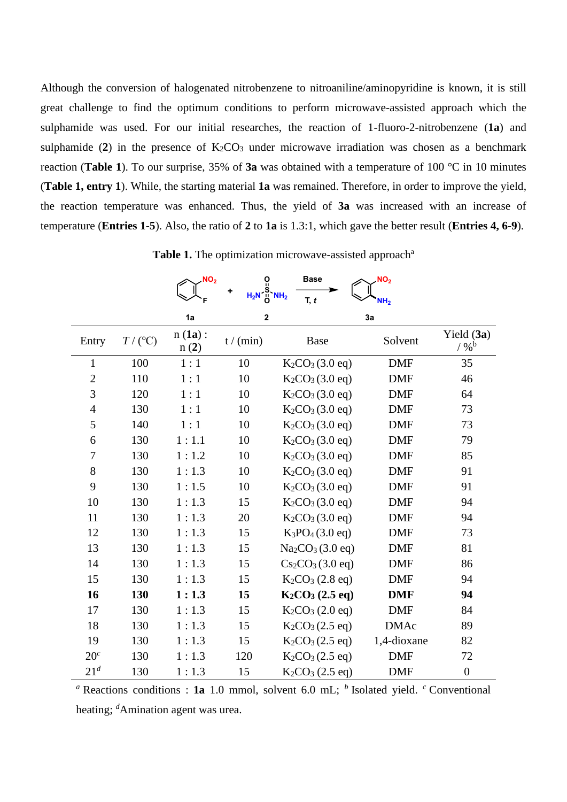Although the conversion of halogenated nitrobenzene to nitroaniline/aminopyridine is known, it is still great challenge to find the optimum conditions to perform microwave-assisted approach which the sulphamide was used. For our initial researches, the reaction of 1-fluoro-2-nitrobenzene (**1a**) and sulphamide (2) in the presence of  $K_2CO_3$  under microwave irradiation was chosen as a benchmark reaction (**Table 1**). To our surprise, 35% of **3a** was obtained with a temperature of 100 °C in 10 minutes (**Table 1, entry 1**). While, the starting material **1a** was remained. Therefore, in order to improve the yield, the reaction temperature was enhanced. Thus, the yield of **3a** was increased with an increase of temperature (**Entries 1-5**). Also, the ratio of **2** to **1a** is 1.3:1, which gave the better result (**Entries 4, 6-9**).

|                 |           | NO <sub>2</sub>   | $\overline{0}$          | <b>Base</b>                              | NO <sub>2</sub> |                            |
|-----------------|-----------|-------------------|-------------------------|------------------------------------------|-----------------|----------------------------|
|                 |           |                   | $H_2N \frac{S}{O} NH_2$ | T, t                                     | NH <sub>2</sub> |                            |
|                 |           | 1a                | $\mathbf 2$             |                                          | 3a              |                            |
| Entry           | $T/$ (°C) | $n(1a)$ :<br>n(2) | t/(min)                 | Base                                     | Solvent         | Yield (3a)<br>$/$ % $^{b}$ |
| $\mathbf{1}$    | 100       | 1:1               | 10                      | $K_2CO_3(3.0 \text{ eq})$                | <b>DMF</b>      | 35                         |
| $\overline{2}$  | 110       | 1:1               | 10                      | $K_2CO_3(3.0 \text{ eq})$                | <b>DMF</b>      | 46                         |
| 3               | 120       | 1:1               | 10                      | $K_2CO_3(3.0 \text{ eq})$                | <b>DMF</b>      | 64                         |
| $\overline{4}$  | 130       | 1:1               | 10                      | $K_2CO_3(3.0 \text{ eq})$                | <b>DMF</b>      | 73                         |
| 5               | 140       | 1:1               | 10                      | $K_2CO_3(3.0 \text{ eq})$                | <b>DMF</b>      | 73                         |
| 6               | 130       | 1:1.1             | 10                      | $K_2CO_3(3.0 \text{ eq})$                | <b>DMF</b>      | 79                         |
| $\overline{7}$  | 130       | 1:1.2             | 10                      | $K_2CO_3(3.0 \text{ eq})$                | <b>DMF</b>      | 85                         |
| 8               | 130       | 1:1.3             | 10                      | $K_2CO_3(3.0 \text{ eq})$                | <b>DMF</b>      | 91                         |
| 9               | 130       | 1:1.5             | 10                      | $K_2CO_3(3.0 \text{ eq})$                | <b>DMF</b>      | 91                         |
| 10              | 130       | 1:1.3             | 15                      | $K_2CO_3(3.0 \text{ eq})$                | <b>DMF</b>      | 94                         |
| 11              | 130       | 1:1.3             | 20                      | $K_2CO_3(3.0 \text{ eq})$                | <b>DMF</b>      | 94                         |
| 12              | 130       | 1:1.3             | 15                      | $K_3PO_4(3.0 \text{ eq})$                | <b>DMF</b>      | 73                         |
| 13              | 130       | 1:1.3             | 15                      | Na <sub>2</sub> CO <sub>3</sub> (3.0 eq) | <b>DMF</b>      | 81                         |
| 14              | 130       | 1:1.3             | 15                      | $Cs_2CO_3(3.0 \text{ eq})$               | <b>DMF</b>      | 86                         |
| 15              | 130       | 1:1.3             | 15                      | $K_2CO_3$ (2.8 eq)                       | <b>DMF</b>      | 94                         |
| 16              | 130       | 1:1.3             | 15                      | $K_2CO_3$ (2.5 eq)                       | <b>DMF</b>      | 94                         |
| 17              | 130       | 1:1.3             | 15                      | $K_2CO_3$ (2.0 eq)                       | <b>DMF</b>      | 84                         |
| 18              | 130       | 1:1.3             | 15                      | $K_2CO_3(2.5 \text{ eq})$                | <b>DMAc</b>     | 89                         |
| 19              | 130       | 1:1.3             | 15                      | $K_2CO_3(2.5 \text{ eq})$                | 1,4-dioxane     | 82                         |
| 20 <sup>c</sup> | 130       | 1:1.3             | 120                     | $K_2CO_3(2.5 \text{ eq})$                | <b>DMF</b>      | 72                         |
| 21 <sup>d</sup> | 130       | 1:1.3             | 15                      | $K_2CO_3$ (2.5 eq)                       | <b>DMF</b>      | $\boldsymbol{0}$           |

Table 1. The optimization microwave-assisted approach<sup>a</sup>

*a* Reactions conditions : **1a** 1.0 mmol, solvent 6.0 mL; <sup>*b*</sup> Isolated yield. *c* Conventional heating; *<sup>d</sup>*Amination agent was urea.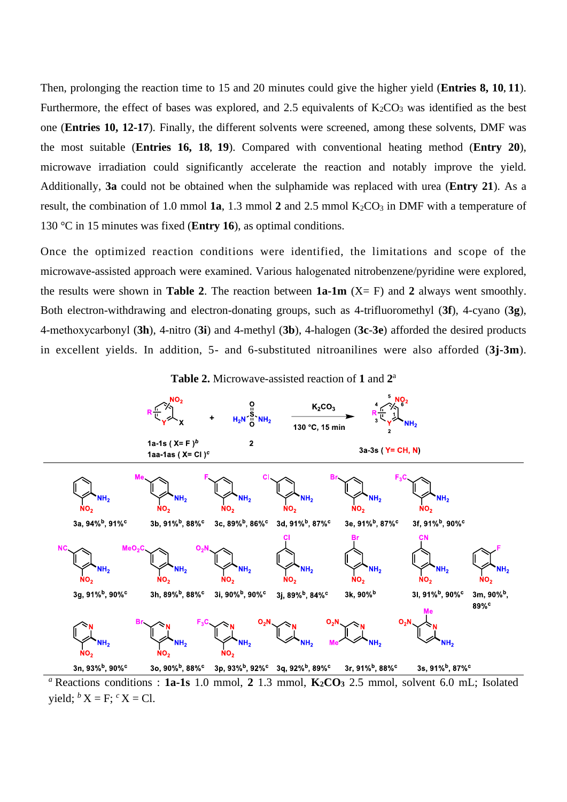Then, prolonging the reaction time to 15 and 20 minutes could give the higher yield (**Entries 8, 10, 11**). Furthermore, the effect of bases was explored, and 2.5 equivalents of  $K_2CO_3$  was identified as the best one (**Entries 10, 12-17**). Finally, the different solvents were screened, among these solvents, DMF was the most suitable (**Entries 16, 18, 19**). Compared with conventional heating method (**Entry 20**), microwave irradiation could significantly accelerate the reaction and notably improve the yield. Additionally, **3a** could not be obtained when the sulphamide was replaced with urea (**Entry 21**). As a result, the combination of 1.0 mmol  $1a$ , 1.3 mmol  $2$  and  $2.5$  mmol  $K_2CO_3$  in DMF with a temperature of 130 °C in 15 minutes was fixed (**Entry 16**), as optimal conditions.

Once the optimized reaction conditions were identified, the limitations and scope of the microwave-assisted approach were examined. Various halogenated nitrobenzene/pyridine were explored, the results were shown in **Table 2**. The reaction between  $1a-1m$   $(X = F)$  and 2 always went smoothly. Both electron-withdrawing and electron-donating groups, such as 4-trifluoromethyl (**3f**), 4-cyano (**3g**), 4-methoxycarbonyl (**3h**), 4-nitro (**3i**) and 4-methyl (**3b**), 4-halogen (**3c**-**3e**) afforded the desired products in excellent yields. In addition, 5- and 6-substituted nitroanilines were also afforded (**3j-3m**).





*<sup>a</sup>*Reactions conditions : **1a-1s** 1.0 mmol, **2** 1.3 mmol, **K2CO<sup>3</sup>** 2.5 mmol, solvent 6.0 mL; Isolated yield;  ${}^bX = F$ ;  ${}^cX = Cl$ .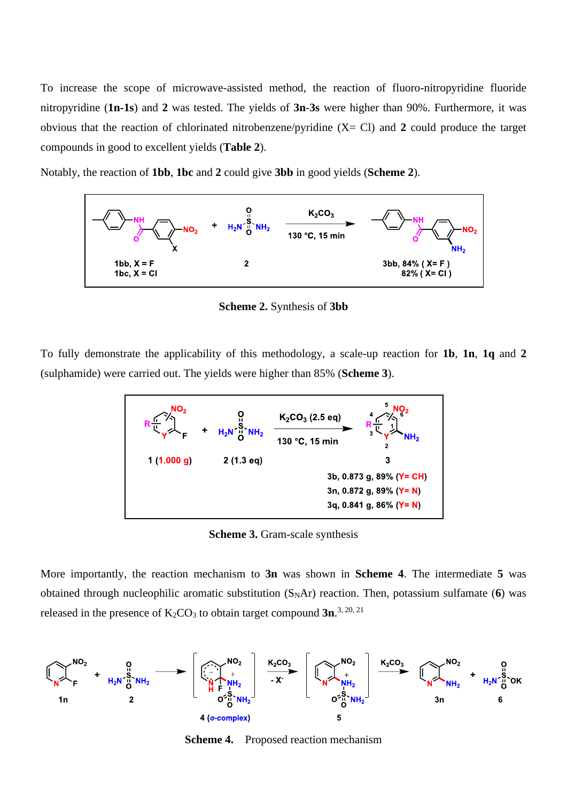To increase the scope of microwave-assisted method, the reaction of fluoro-nitropyridine fluoride nitropyridine (**1n-1s**) and **2** was tested. The yields of **3n**-**3s** were higher than 90%. Furthermore, it was obvious that the reaction of chlorinated nitrobenzene/pyridine (X= Cl) and **2** could produce the target compounds in good to excellent yields (**Table 2**).

Notably, the reaction of **1bb**, **1bc** and **2** could give **3bb** in good yields (**Scheme 2**).



**Scheme 2.** Synthesis of **3bb**

To fully demonstrate the applicability of this methodology, a scale-up reaction for **1b**, **1n**, **1q** and **2** (sulphamide) were carried out. The yields were higher than 85% (**Scheme 3**).



**Scheme 3.** Gram-scale synthesis

More importantly, the reaction mechanism to **3n** was shown in **Scheme 4**. The intermediate **5** was obtained through nucleophilic aromatic substitution  $(S<sub>N</sub>Ar)$  reaction. Then, potassium sulfamate (6) was released in the presence of  $K_2CO_3$  to obtain target compound  $3n^{3, 20, 21}$ 



**Scheme 4.** Proposed reaction mechanism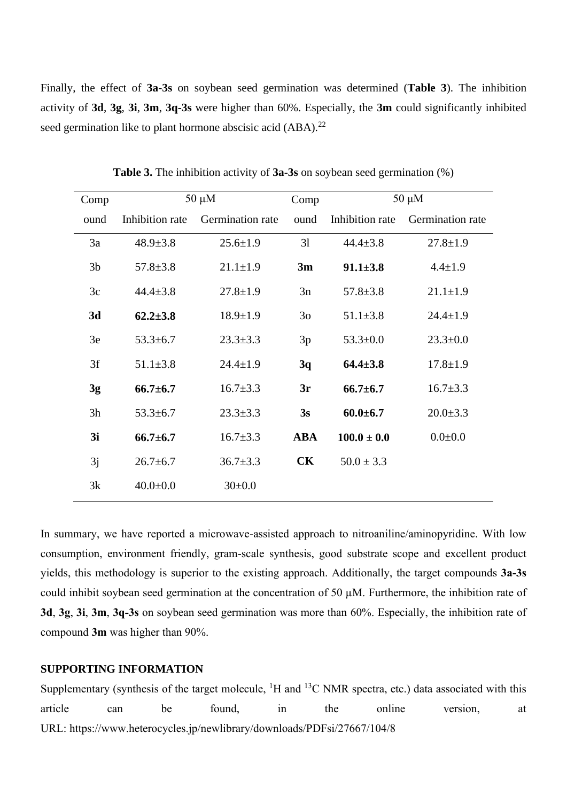Finally, the effect of **3a-3s** on soybean seed germination was determined (**Table 3**). The inhibition activity of **3d**, **3g**, **3i**, **3m**, **3q-3s** were higher than 60%. Especially, the **3m** could significantly inhibited seed germination like to plant hormone abscisic acid (ABA).<sup>22</sup>

| Comp           |                 | $50 \mu M$       | Comp           | $50 \mu M$      |                  |  |
|----------------|-----------------|------------------|----------------|-----------------|------------------|--|
| ound           | Inhibition rate | Germination rate | ound           | Inhibition rate | Germination rate |  |
| 3a             | $48.9 \pm 3.8$  | $25.6 \pm 1.9$   | 31             | $44.4 \pm 3.8$  | $27.8 \pm 1.9$   |  |
| 3 <sub>b</sub> | $57.8 \pm 3.8$  | $21.1 \pm 1.9$   | 3m             | $91.1 \pm 3.8$  | $4.4 \pm 1.9$    |  |
| 3c             | $44.4 \pm 3.8$  | $27.8 \pm 1.9$   | 3n             | $57.8 \pm 3.8$  | $21.1 \pm 1.9$   |  |
| 3d             | $62.2 \pm 3.8$  | $18.9 \pm 1.9$   | 3 <sub>o</sub> | $51.1 \pm 3.8$  | $24.4 \pm 1.9$   |  |
| 3e             | $53.3 \pm 6.7$  | $23.3 \pm 3.3$   | 3p             | $53.3 \pm 0.0$  | $23.3 \pm 0.0$   |  |
| 3f             | $51.1 \pm 3.8$  | $24.4 \pm 1.9$   | 3q             | $64.4 \pm 3.8$  | $17.8 \pm 1.9$   |  |
| 3g             | $66.7 \pm 6.7$  | $16.7 \pm 3.3$   | 3r             | $66.7 \pm 6.7$  | $16.7 \pm 3.3$   |  |
| 3h             | $53.3 \pm 6.7$  | $23.3 \pm 3.3$   | 3s             | $60.0 \pm 6.7$  | $20.0 \pm 3.3$   |  |
| 3i             | $66.7 \pm 6.7$  | $16.7 \pm 3.3$   | <b>ABA</b>     | $100.0 \pm 0.0$ | $0.0 + 0.0$      |  |
| 3j             | $26.7 \pm 6.7$  | $36.7 \pm 3.3$   | <b>CK</b>      | $50.0 \pm 3.3$  |                  |  |
| 3k             | $40.0 \pm 0.0$  | $30 \pm 0.0$     |                |                 |                  |  |

**Table 3.** The inhibition activity of **3a-3s** on soybean seed germination (%)

In summary, we have reported a microwave-assisted approach to nitroaniline/aminopyridine. With low consumption, environment friendly, gram-scale synthesis, good substrate scope and excellent product yields, this methodology is superior to the existing approach. Additionally, the target compounds **3a-3s** could inhibit soybean seed germination at the concentration of 50 µM. Furthermore, the inhibition rate of **3d**, **3g**, **3i**, **3m**, **3q-3s** on soybean seed germination was more than 60%. Especially, the inhibition rate of compound **3m** was higher than 90%.

### **SUPPORTING INFORMATION**

Supplementary (synthesis of the target molecule,  ${}^{1}H$  and  ${}^{13}C$  NMR spectra, etc.) data associated with this article can be found, in the online version, at URL: https://www.heterocycles.jp/newlibrary/downloads/PDFsi/27667/104/8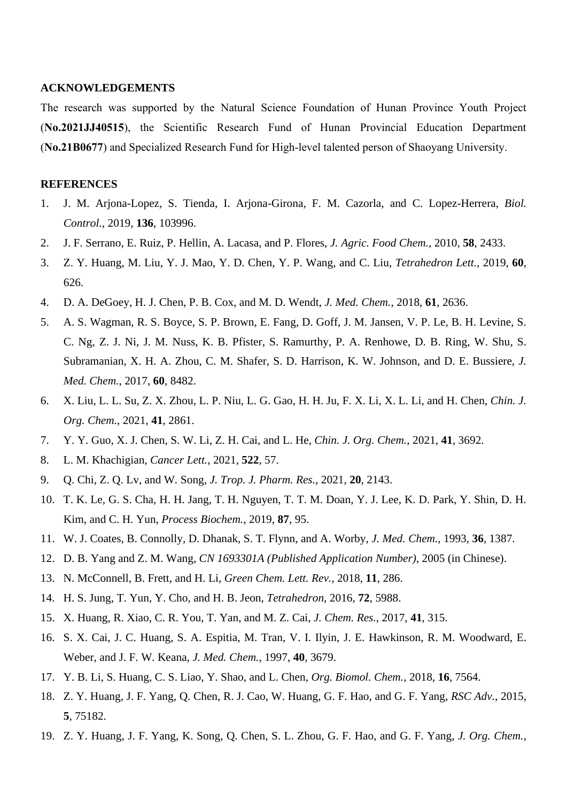#### **ACKNOWLEDGEMENTS**

The research was supported by the Natural Science Foundation of Hunan Province Youth Project (**No.2021JJ40515**), the Scientific Research Fund of Hunan Provincial Education Department (**No.21B0677**) and Specialized Research Fund for High-level talented person of Shaoyang University.

#### **REFERENCES**

- 1. J. M. Arjona-Lopez, S. Tienda, I. Arjona-Girona, F. M. Cazorla, and C. Lopez-Herrera, *Biol. Control.*, 2019, **136**, 103996.
- 2. J. F. Serrano, E. Ruiz, P. Hellin, A. Lacasa, and P. Flores, *J. Agric. Food Chem.*, 2010, **58**, 2433.
- 3. Z. Y. Huang, M. Liu, Y. J. Mao, Y. D. Chen, Y. P. Wang, and C. Liu, *Tetrahedron Lett.*, 2019, **60**, 626.
- 4. D. A. DeGoey, H. J. Chen, P. B. Cox, and M. D. Wendt, *J. Med. Chem.*, 2018, **61**, 2636.
- 5. A. S. Wagman, R. S. Boyce, S. P. Brown, E. Fang, D. Goff, J. M. Jansen, V. P. Le, B. H. Levine, S. C. Ng, Z. J. Ni, J. M. Nuss, K. B. Pfister, S. Ramurthy, P. A. Renhowe, D. B. Ring, W. Shu, S. Subramanian, X. H. A. Zhou, C. M. Shafer, S. D. Harrison, K. W. Johnson, and D. E. Bussiere, *J. Med. Chem.*, 2017, **60**, 8482.
- 6. X. Liu, L. L. Su, Z. X. Zhou, L. P. Niu, L. G. Gao, H. H. Ju, F. X. Li, X. L. Li, and H. Chen, *Chin. J. Org. Chem.*, 2021, **41**, 2861.
- 7. Y. Y. Guo, X. J. Chen, S. W. Li, Z. H. Cai, and L. He, *Chin. J. Org. Chem.*, 2021, **41**, 3692.
- 8. L. M. Khachigian, *Cancer Lett.*, 2021, **522**, 57.
- 9. Q. Chi, Z. Q. Lv, and W. Song, *J. Trop. J. Pharm. Res.*, 2021, **20**, 2143.
- 10. T. K. Le, G. S. Cha, H. H. Jang, T. H. Nguyen, T. T. M. Doan, Y. J. Lee, K. D. Park, Y. Shin, D. H. Kim, and C. H. Yun, *Process Biochem.*, 2019, **87**, 95.
- 11. W. J. Coates, B. Connolly, D. Dhanak, S. T. Flynn, and A. Worby, *J. Med. Chem.*, 1993, **36**, 1387.
- 12. D. B. Yang and Z. M. Wang, *CN 1693301A (Published Application Number)*, 2005 (in Chinese).
- 13. N. McConnell, B. Frett, and H. Li, *Green Chem. Lett. Rev.*, 2018, **11**, 286.
- 14. H. S. Jung, T. Yun, Y. Cho, and H. B. Jeon, *Tetrahedron*, 2016, **72**, 5988.
- 15. X. Huang, R. Xiao, C. R. You, T. Yan, and M. Z. Cai, *J. Chem. Res.*, 2017, **41**, 315.
- 16. S. X. Cai, J. C. Huang, S. A. Espitia, M. Tran, V. I. Ilyin, J. E. Hawkinson, R. M. Woodward, E. Weber, and J. F. W. Keana, *J. Med. Chem.*, 1997, **40**, 3679.
- 17. Y. B. Li, S. Huang, C. S. Liao, Y. Shao, and L. Chen, *Org. Biomol. Chem.*, 2018, **16**, 7564.
- 18. Z. Y. Huang, J. F. Yang, Q. Chen, R. J. Cao, W. Huang, G. F. Hao, and G. F. Yang, *RSC Adv.*, 2015, **5**, 75182.
- 19. Z. Y. Huang, J. F. Yang, K. Song, Q. Chen, S. L. Zhou, G. F. Hao, and G. F. Yang, *J. Org. Chem.*,